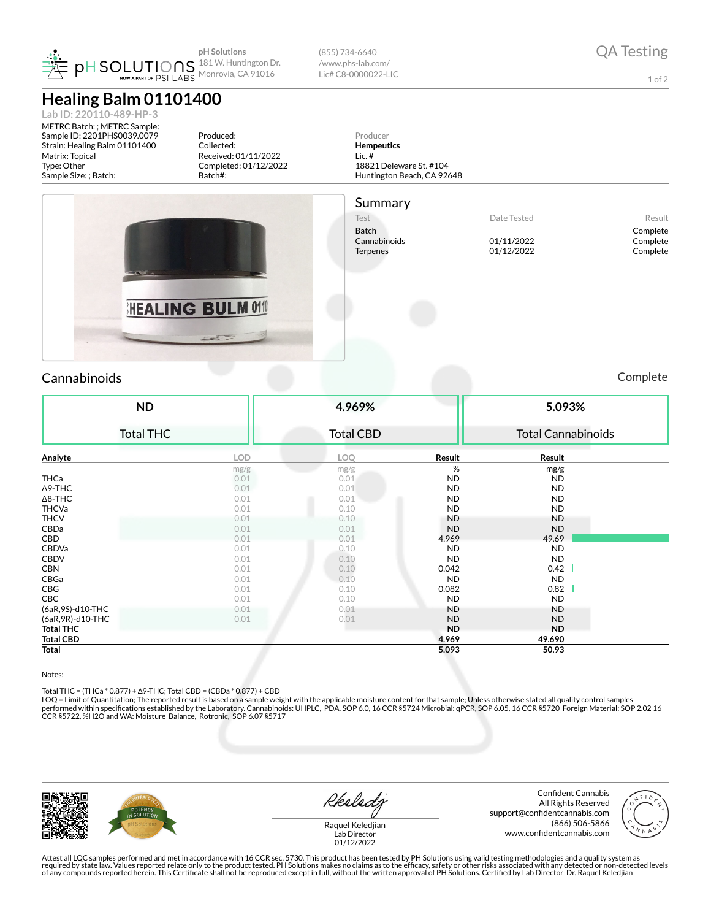| PER SOLUTIONS 181 W. Huntington Dr |  |
|------------------------------------|--|
|------------------------------------|--|

## **Healing Balm 01101400**

**Lab ID: 220110-489-HP-3**

METRC Batch: ; METRC Sample: Sample ID: 2201PHS0039.0079 Strain: Healing Balm 01101400 Matrix: Topical Type: Other Sample Size: ; Batch:

Produced: Collected: Received: 01/11/2022 Completed: 01/12/2022 Batch#:



Producer **Hempeutics** Lic. #

Summary

18821 Deleware St. #104 Huntington Beach, CA 92648

Test Nesult Batch Complete<br>
Complete Cannabinoids Complete Cannabinoids Complete Cannabinoids Complete Cannabinoids 01/11/2022 Complete Terpenes 01/12/2022 Complete

1 of 2

HEALING BULM 011 Cannabinoids Complete **4.969%**

| <b>ND</b><br><b>Total THC</b> |            | 4.969%           |           | 5.093%                    |  |  |
|-------------------------------|------------|------------------|-----------|---------------------------|--|--|
|                               |            | <b>Total CBD</b> |           | <b>Total Cannabinoids</b> |  |  |
| Analyte                       | <b>LOD</b> | <b>LOQ</b>       | Result    | Result                    |  |  |
|                               | mg/g       | mg/g             | %         | mg/g                      |  |  |
| <b>THCa</b>                   | 0.01       | 0.01             | <b>ND</b> | <b>ND</b>                 |  |  |
| ∆9-THC                        | 0.01       | 0.01             | ND        | <b>ND</b>                 |  |  |
| $\Delta$ 8-THC                | 0.01       | 0.01             | <b>ND</b> | ND                        |  |  |
| <b>THCVa</b>                  | 0.01       | 0.10             | <b>ND</b> | ND                        |  |  |
| <b>THCV</b>                   | 0.01       | 0.10             | <b>ND</b> | <b>ND</b>                 |  |  |
| CBDa                          | 0.01       | 0.01             | <b>ND</b> | <b>ND</b>                 |  |  |
| CBD                           | 0.01       | 0.01             | 4.969     | 49.69                     |  |  |
| CBDVa                         | 0.01       | 0.10             | <b>ND</b> | ND                        |  |  |
| <b>CBDV</b>                   | 0.01       | 0.10             | <b>ND</b> | ND                        |  |  |
| <b>CBN</b>                    | 0.01       | 0.10             | 0.042     | 0.42                      |  |  |
| CBGa                          | 0.01       | 0.10             | <b>ND</b> | <b>ND</b>                 |  |  |
| CBG                           | 0.01       | 0.10             | 0.082     | 0.82                      |  |  |
| CBC                           | 0.01       | 0.10             | <b>ND</b> | ND                        |  |  |
| (6aR,9S)-d10-THC              | 0.01       | 0.01             | <b>ND</b> | <b>ND</b>                 |  |  |
| (6aR, 9R)-d10-THC             | 0.01       | 0.01             | <b>ND</b> | <b>ND</b>                 |  |  |
|                               |            |                  | <b>ND</b> | <b>ND</b>                 |  |  |
| <b>Total THC</b>              |            |                  |           |                           |  |  |
| <b>Total CBD</b>              |            |                  | 4.969     | 49.690                    |  |  |
| Total                         |            |                  | 5.093     | 50.93                     |  |  |

Notes:

Total THC = (THCa \* 0.877) + Δ9-THC; Total CBD = (CBDa \* 0.877) + CBD<br>LOQ = Limit of Quantitation; The reported result is based on a sample weight with the applicable moisture content for that sample; Unless otherwise stat performed within specifications established by the Laboratory. Cannabinoids: UHPLC, PDA, SOP 6.0, 16 CCR §5724 Microbial: qPCR, SOP 6.05, 16 CCR §5720 Foreign Material: SOP 2.02 16 CCR §5722, %H2O and WA: Moisture Balance, Rotronic, SOP 6.07 §5717

Reeledy

Confident Cannabis All Rights Reserved support@confidentcannabis.com (866) 506-5866 www.confidentcannabis.com



Raquel Keledjian Lab Director 01/12/2022

Attest all LQC samples performed and met in accordance with 16 CCR sec. 5730. This product has been tested by PH Solutions using valid testing methodologies and a quality system as<br>required by state law. Values reported re